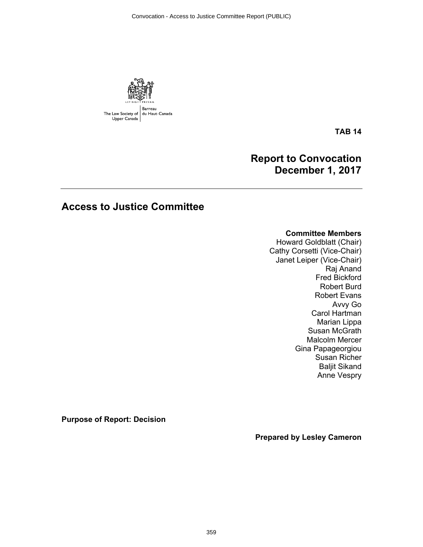Convocation - Access to Justice Committee Report (PUBLIC)



**TAB 14**

## **Report to Convocation December 1, 2017**

# **Access to Justice Committee**

## **Committee Members**

Howard Goldblatt (Chair) Cathy Corsetti (Vice-Chair) Janet Leiper (Vice-Chair) Raj Anand Fred Bickford Robert Burd Robert Evans Avvy Go Carol Hartman Marian Lippa Susan McGrath Malcolm Mercer Gina Papageorgiou Susan Richer Baljit Sikand Anne Vespry

**Purpose of Report: Decision** 

**Prepared by Lesley Cameron**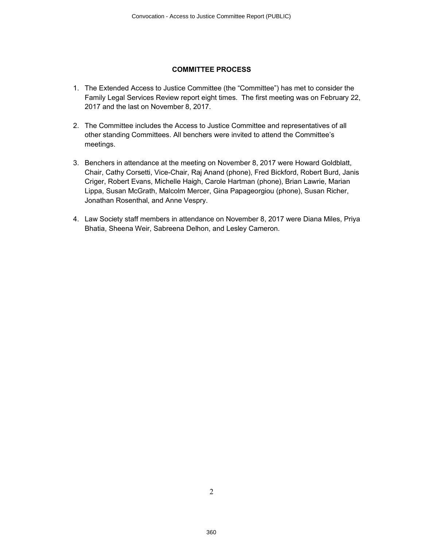#### **COMMITTEE PROCESS**

- 1. The Extended Access to Justice Committee (the "Committee") has met to consider the Family Legal Services Review report eight times. The first meeting was on February 22, 2017 and the last on November 8, 2017.
- 2. The Committee includes the Access to Justice Committee and representatives of all other standing Committees. All benchers were invited to attend the Committee's meetings.
- 3. Benchers in attendance at the meeting on November 8, 2017 were Howard Goldblatt, Chair, Cathy Corsetti, Vice-Chair, Raj Anand (phone), Fred Bickford, Robert Burd, Janis Criger, Robert Evans, Michelle Haigh, Carole Hartman (phone), Brian Lawrie, Marian Lippa, Susan McGrath, Malcolm Mercer, Gina Papageorgiou (phone), Susan Richer, Jonathan Rosenthal, and Anne Vespry.
- 4. Law Society staff members in attendance on November 8, 2017 were Diana Miles, Priya Bhatia, Sheena Weir, Sabreena Delhon, and Lesley Cameron.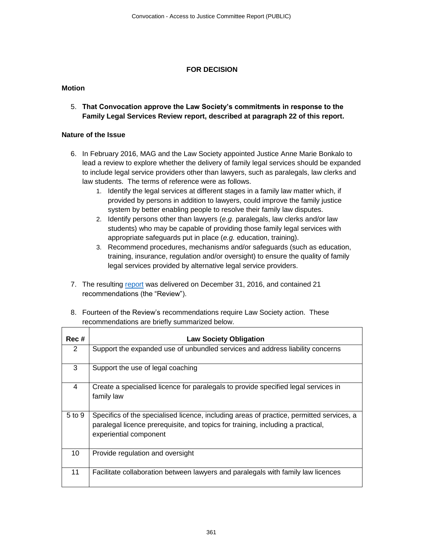### **FOR DECISION**

## **Motion**

5. **That Convocation approve the Law Society's commitments in response to the Family Legal Services Review report, described at paragraph 22 of this report.**

## **Nature of the Issue**

- 6. In February 2016, MAG and the Law Society appointed Justice Anne Marie Bonkalo to lead a review to explore whether the delivery of family legal services should be expanded to include legal service providers other than lawyers, such as paralegals, law clerks and law students. The terms of reference were as follows.
	- 1. Identify the legal services at different stages in a family law matter which, if provided by persons in addition to lawyers, could improve the family justice system by better enabling people to resolve their family law disputes.
	- 2. Identify persons other than lawyers (*e.g.* paralegals, law clerks and/or law students) who may be capable of providing those family legal services with appropriate safeguards put in place (*e.g.* education, training).
	- 3. Recommend procedures, mechanisms and/or safeguards (such as education, training, insurance, regulation and/or oversight) to ensure the quality of family legal services provided by alternative legal service providers.
- 7. The resulting [report](https://www.attorneygeneral.jus.gov.on.ca/english/about/pubs/family_legal_services_review/) was delivered on December 31, 2016, and contained 21 recommendations (the "Review").
- 8. Fourteen of the Review's recommendations require Law Society action. These recommendations are briefly summarized below.

| Rec #  | <b>Law Society Obligation</b>                                                                                                                                                                         |
|--------|-------------------------------------------------------------------------------------------------------------------------------------------------------------------------------------------------------|
| 2      | Support the expanded use of unbundled services and address liability concerns                                                                                                                         |
| 3      | Support the use of legal coaching                                                                                                                                                                     |
| 4      | Create a specialised licence for paralegals to provide specified legal services in<br>family law                                                                                                      |
| 5 to 9 | Specifics of the specialised licence, including areas of practice, permitted services, a<br>paralegal licence prerequisite, and topics for training, including a practical,<br>experiential component |
| 10     | Provide regulation and oversight                                                                                                                                                                      |
| 11     | Facilitate collaboration between lawyers and paralegals with family law licences                                                                                                                      |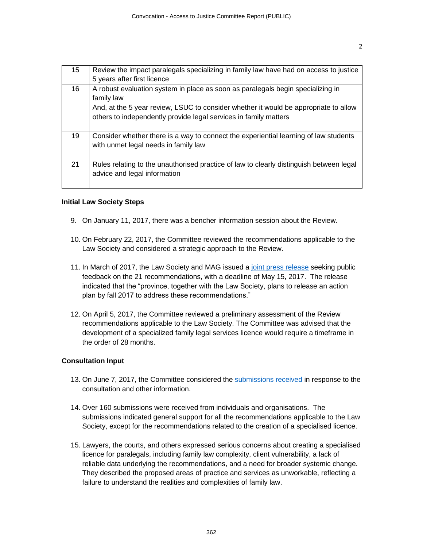| 15 | Review the impact paralegals specializing in family law have had on access to justice                                                                                                                                                                     |
|----|-----------------------------------------------------------------------------------------------------------------------------------------------------------------------------------------------------------------------------------------------------------|
|    | 5 years after first licence                                                                                                                                                                                                                               |
| 16 | A robust evaluation system in place as soon as paralegals begin specializing in<br>family law<br>And, at the 5 year review, LSUC to consider whether it would be appropriate to allow<br>others to independently provide legal services in family matters |
| 19 | Consider whether there is a way to connect the experiential learning of law students<br>with unmet legal needs in family law                                                                                                                              |
| 21 | Rules relating to the unauthorised practice of law to clearly distinguish between legal<br>advice and legal information                                                                                                                                   |

#### **Initial Law Society Steps**

- 9. On January 11, 2017, there was a bencher information session about the Review.
- 10. On February 22, 2017, the Committee reviewed the recommendations applicable to the Law Society and considered a strategic approach to the Review.
- 11. In March of 2017, the Law Society and MAG issued a [joint press release](http://www.lsuc.on.ca/newsarchives.aspx?id=2147485737&cid=2147503587) seeking public feedback on the 21 recommendations, with a deadline of May 15, 2017. The release indicated that the "province, together with the Law Society, plans to release an action plan by fall 2017 to address these recommendations."
- 12. On April 5, 2017, the Committee reviewed a preliminary assessment of the Review recommendations applicable to the Law Society. The Committee was advised that the development of a specialized family legal services licence would require a timeframe in the order of 28 months.

#### **Consultation Input**

- 13. On June 7, 2017, the Committee considered the [submissions received](https://www.lsuc.on.ca/family-law-review/) in response to the consultation and other information.
- 14. Over 160 submissions were received from individuals and organisations. The submissions indicated general support for all the recommendations applicable to the Law Society, except for the recommendations related to the creation of a specialised licence.
- 15. Lawyers, the courts, and others expressed serious concerns about creating a specialised licence for paralegals, including family law complexity, client vulnerability, a lack of reliable data underlying the recommendations, and a need for broader systemic change. They described the proposed areas of practice and services as unworkable, reflecting a failure to understand the realities and complexities of family law.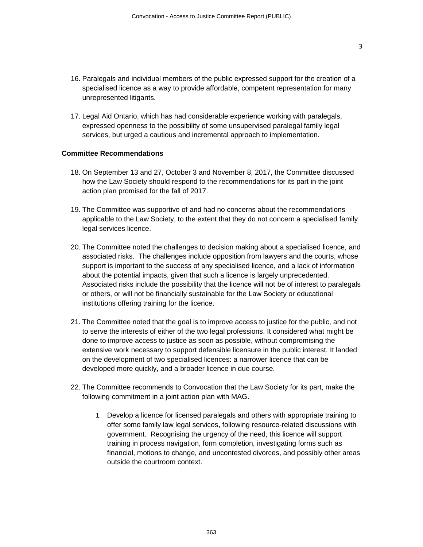- 16. Paralegals and individual members of the public expressed support for the creation of a specialised licence as a way to provide affordable, competent representation for many unrepresented litigants.
- 17. Legal Aid Ontario, which has had considerable experience working with paralegals, expressed openness to the possibility of some unsupervised paralegal family legal services, but urged a cautious and incremental approach to implementation.

#### **Committee Recommendations**

- 18. On September 13 and 27, October 3 and November 8, 2017, the Committee discussed how the Law Society should respond to the recommendations for its part in the joint action plan promised for the fall of 2017.
- 19. The Committee was supportive of and had no concerns about the recommendations applicable to the Law Society, to the extent that they do not concern a specialised family legal services licence.
- 20. The Committee noted the challenges to decision making about a specialised licence, and associated risks. The challenges include opposition from lawyers and the courts, whose support is important to the success of any specialised licence, and a lack of information about the potential impacts, given that such a licence is largely unprecedented. Associated risks include the possibility that the licence will not be of interest to paralegals or others, or will not be financially sustainable for the Law Society or educational institutions offering training for the licence.
- 21. The Committee noted that the goal is to improve access to justice for the public, and not to serve the interests of either of the two legal professions. It considered what might be done to improve access to justice as soon as possible, without compromising the extensive work necessary to support defensible licensure in the public interest. It landed on the development of two specialised licences: a narrower licence that can be developed more quickly, and a broader licence in due course.
- 22. The Committee recommends to Convocation that the Law Society for its part, make the following commitment in a joint action plan with MAG.
	- 1. Develop a licence for licensed paralegals and others with appropriate training to offer some family law legal services, following resource-related discussions with government. Recognising the urgency of the need, this licence will support training in process navigation, form completion, investigating forms such as financial, motions to change, and uncontested divorces, and possibly other areas outside the courtroom context.